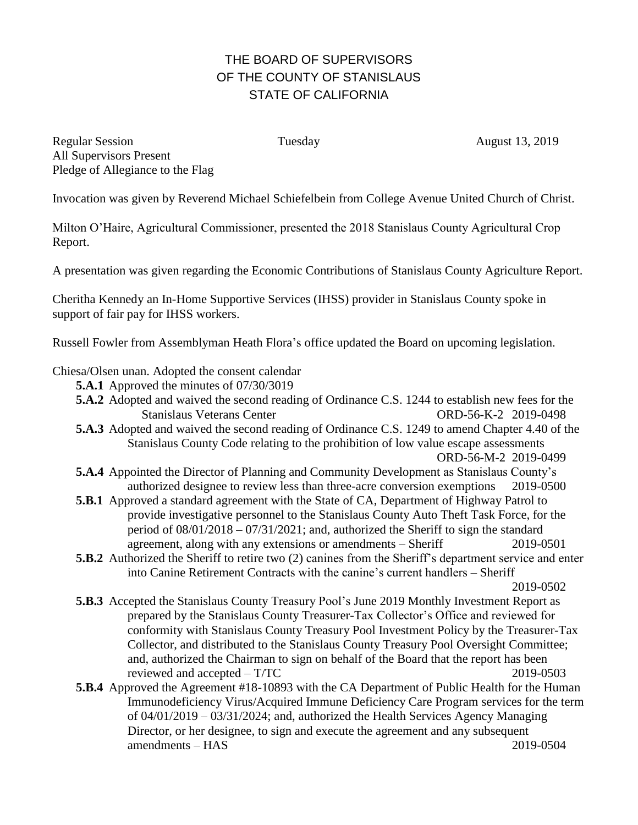## THE BOARD OF SUPERVISORS OF THE COUNTY OF STANISLAUS STATE OF CALIFORNIA

Regular Session Tuesday Tuesday August 13, 2019 All Supervisors Present Pledge of Allegiance to the Flag

Invocation was given by Reverend Michael Schiefelbein from College Avenue United Church of Christ.

Milton O'Haire, Agricultural Commissioner, presented the 2018 Stanislaus County Agricultural Crop Report.

A presentation was given regarding the Economic Contributions of Stanislaus County Agriculture Report.

Cheritha Kennedy an In-Home Supportive Services (IHSS) provider in Stanislaus County spoke in support of fair pay for IHSS workers.

Russell Fowler from Assemblyman Heath Flora's office updated the Board on upcoming legislation.

Chiesa/Olsen unan. Adopted the consent calendar

- **5.A.1** Approved the minutes of 07/30/3019
- **5.A.2** Adopted and waived the second reading of Ordinance C.S. 1244 to establish new fees for the Stanislaus Veterans Center ORD-56-K-2 2019-0498
- **5.A.3** Adopted and waived the second reading of Ordinance C.S. 1249 to amend Chapter 4.40 of the Stanislaus County Code relating to the prohibition of low value escape assessments ORD-56-M-2 2019-0499
- **5.A.4** Appointed the Director of Planning and Community Development as Stanislaus County's authorized designee to review less than three-acre conversion exemptions 2019-0500
- **5.B.1** Approved a standard agreement with the State of CA, Department of Highway Patrol to provide investigative personnel to the Stanislaus County Auto Theft Task Force, for the period of 08/01/2018 – 07/31/2021; and, authorized the Sheriff to sign the standard agreement, along with any extensions or amendments – Sheriff 2019-0501
- **5.B.2** Authorized the Sheriff to retire two (2) canines from the Sheriff's department service and enter into Canine Retirement Contracts with the canine's current handlers – Sheriff

2019-0502

- **5.B.3** Accepted the Stanislaus County Treasury Pool's June 2019 Monthly Investment Report as prepared by the Stanislaus County Treasurer-Tax Collector's Office and reviewed for conformity with Stanislaus County Treasury Pool Investment Policy by the Treasurer-Tax Collector, and distributed to the Stanislaus County Treasury Pool Oversight Committee; and, authorized the Chairman to sign on behalf of the Board that the report has been reviewed and accepted – T/TC 2019-0503
- **5.B.4** Approved the Agreement #18-10893 with the CA Department of Public Health for the Human Immunodeficiency Virus/Acquired Immune Deficiency Care Program services for the term of 04/01/2019 – 03/31/2024; and, authorized the Health Services Agency Managing Director, or her designee, to sign and execute the agreement and any subsequent amendments – HAS 2019-0504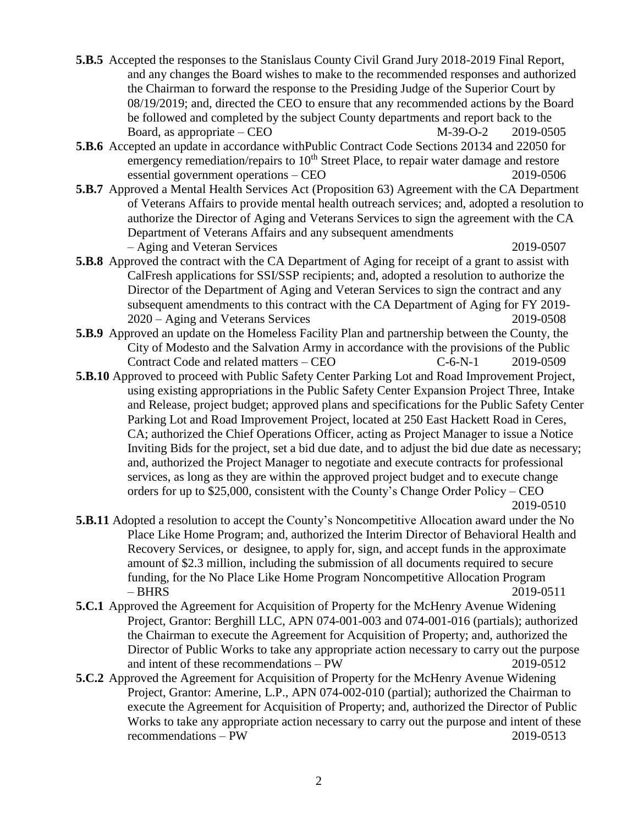- **5.B.5** Accepted the responses to the Stanislaus County Civil Grand Jury 2018-2019 Final Report, and any changes the Board wishes to make to the recommended responses and authorized the Chairman to forward the response to the Presiding Judge of the Superior Court by 08/19/2019; and, directed the CEO to ensure that any recommended actions by the Board be followed and completed by the subject County departments and report back to the Board, as appropriate – CEO  $M-39-O-2$  2019-0505
- **5.B.6** Accepted an update in accordance withPublic Contract Code Sections 20134 and 22050 for emergency remediation/repairs to  $10<sup>th</sup>$  Street Place, to repair water damage and restore essential government operations – CEO 2019-0506
- **5.B.7** Approved a Mental Health Services Act (Proposition 63) Agreement with the CA Department of Veterans Affairs to provide mental health outreach services; and, adopted a resolution to authorize the Director of Aging and Veterans Services to sign the agreement with the CA Department of Veterans Affairs and any subsequent amendments – Aging and Veteran Services 2019-0507
- **5.B.8** Approved the contract with the CA Department of Aging for receipt of a grant to assist with CalFresh applications for SSI/SSP recipients; and, adopted a resolution to authorize the Director of the Department of Aging and Veteran Services to sign the contract and any subsequent amendments to this contract with the CA Department of Aging for FY 2019- 2020 – Aging and Veterans Services 2019-0508
- **5.B.9** Approved an update on the Homeless Facility Plan and partnership between the County, the City of Modesto and the Salvation Army in accordance with the provisions of the Public Contract Code and related matters – CEO  $C-6-N-1$  2019-0509
- **5.B.10** Approved to proceed with Public Safety Center Parking Lot and Road Improvement Project, using existing appropriations in the Public Safety Center Expansion Project Three, Intake and Release, project budget; approved plans and specifications for the Public Safety Center Parking Lot and Road Improvement Project, located at 250 East Hackett Road in Ceres, CA; authorized the Chief Operations Officer, acting as Project Manager to issue a Notice Inviting Bids for the project, set a bid due date, and to adjust the bid due date as necessary; and, authorized the Project Manager to negotiate and execute contracts for professional services, as long as they are within the approved project budget and to execute change orders for up to \$25,000, consistent with the County's Change Order Policy – CEO 2019-0510
- **5.B.11** Adopted a resolution to accept the County's Noncompetitive Allocation award under the No Place Like Home Program; and, authorized the Interim Director of Behavioral Health and Recovery Services, or designee, to apply for, sign, and accept funds in the approximate amount of \$2.3 million, including the submission of all documents required to secure funding, for the No Place Like Home Program Noncompetitive Allocation Program – BHRS 2019-0511
- **5.C.1** Approved the Agreement for Acquisition of Property for the McHenry Avenue Widening Project, Grantor: Berghill LLC, APN 074-001-003 and 074-001-016 (partials); authorized the Chairman to execute the Agreement for Acquisition of Property; and, authorized the Director of Public Works to take any appropriate action necessary to carry out the purpose and intent of these recommendations – PW 2019-0512
- **5.C.2** Approved the Agreement for Acquisition of Property for the McHenry Avenue Widening Project, Grantor: Amerine, L.P., APN 074-002-010 (partial); authorized the Chairman to execute the Agreement for Acquisition of Property; and, authorized the Director of Public Works to take any appropriate action necessary to carry out the purpose and intent of these recommendations – PW 2019-0513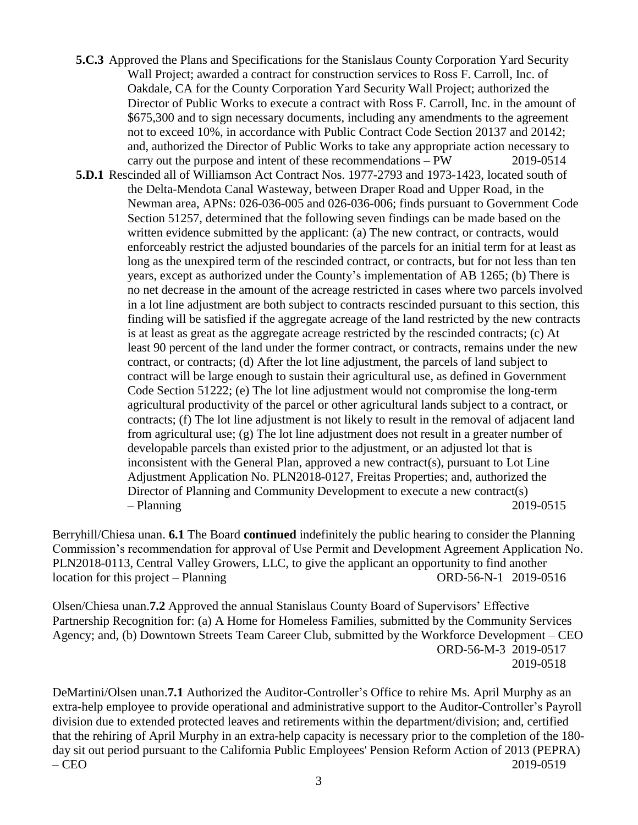- **5.C.3** Approved the Plans and Specifications for the Stanislaus County Corporation Yard Security Wall Project; awarded a contract for construction services to Ross F. Carroll, Inc. of Oakdale, CA for the County Corporation Yard Security Wall Project; authorized the Director of Public Works to execute a contract with Ross F. Carroll, Inc. in the amount of \$675,300 and to sign necessary documents, including any amendments to the agreement not to exceed 10%, in accordance with Public Contract Code Section 20137 and 20142; and, authorized the Director of Public Works to take any appropriate action necessary to carry out the purpose and intent of these recommendations – PW 2019-0514
- **5.D.1** Rescinded all of Williamson Act Contract Nos. 1977-2793 and 1973-1423, located south of the Delta-Mendota Canal Wasteway, between Draper Road and Upper Road, in the Newman area, APNs: 026-036-005 and 026-036-006; finds pursuant to Government Code Section 51257, determined that the following seven findings can be made based on the written evidence submitted by the applicant: (a) The new contract, or contracts, would enforceably restrict the adjusted boundaries of the parcels for an initial term for at least as long as the unexpired term of the rescinded contract, or contracts, but for not less than ten years, except as authorized under the County's implementation of AB 1265; (b) There is no net decrease in the amount of the acreage restricted in cases where two parcels involved in a lot line adjustment are both subject to contracts rescinded pursuant to this section, this finding will be satisfied if the aggregate acreage of the land restricted by the new contracts is at least as great as the aggregate acreage restricted by the rescinded contracts; (c) At least 90 percent of the land under the former contract, or contracts, remains under the new contract, or contracts; (d) After the lot line adjustment, the parcels of land subject to contract will be large enough to sustain their agricultural use, as defined in Government Code Section 51222; (e) The lot line adjustment would not compromise the long-term agricultural productivity of the parcel or other agricultural lands subject to a contract, or contracts; (f) The lot line adjustment is not likely to result in the removal of adjacent land from agricultural use; (g) The lot line adjustment does not result in a greater number of developable parcels than existed prior to the adjustment, or an adjusted lot that is inconsistent with the General Plan, approved a new contract(s), pursuant to Lot Line Adjustment Application No. PLN2018-0127, Freitas Properties; and, authorized the Director of Planning and Community Development to execute a new contract(s) – Planning 2019-0515

Berryhill/Chiesa unan. **6.1** The Board **continued** indefinitely the public hearing to consider the Planning Commission's recommendation for approval of Use Permit and Development Agreement Application No. PLN2018-0113, Central Valley Growers, LLC, to give the applicant an opportunity to find another location for this project – Planning ORD-56-N-1 2019-0516

Olsen/Chiesa unan.**7.2** Approved the annual Stanislaus County Board of Supervisors' Effective Partnership Recognition for: (a) A Home for Homeless Families, submitted by the Community Services Agency; and, (b) Downtown Streets Team Career Club, submitted by the Workforce Development – CEO ORD-56-M-3 2019-0517 2019-0518

DeMartini/Olsen unan.**7.1** Authorized the Auditor-Controller's Office to rehire Ms. April Murphy as an extra-help employee to provide operational and administrative support to the Auditor-Controller's Payroll division due to extended protected leaves and retirements within the department/division; and, certified that the rehiring of April Murphy in an extra-help capacity is necessary prior to the completion of the 180 day sit out period pursuant to the California Public Employees' Pension Reform Action of 2013 (PEPRA) – CEO 2019-0519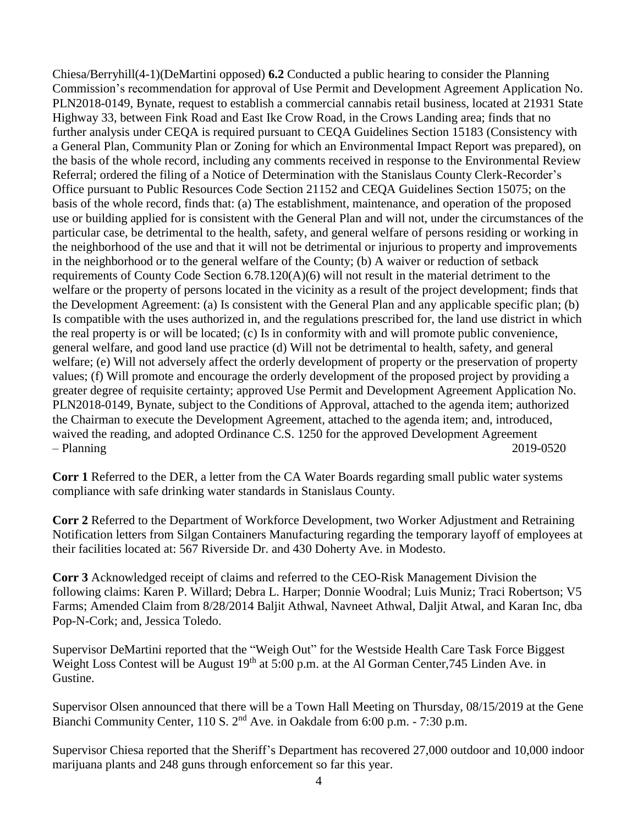Chiesa/Berryhill(4-1)(DeMartini opposed) **6.2** Conducted a public hearing to consider the Planning Commission's recommendation for approval of Use Permit and Development Agreement Application No. PLN2018-0149, Bynate, request to establish a commercial cannabis retail business, located at 21931 State Highway 33, between Fink Road and East Ike Crow Road, in the Crows Landing area; finds that no further analysis under CEQA is required pursuant to CEQA Guidelines Section 15183 (Consistency with a General Plan, Community Plan or Zoning for which an Environmental Impact Report was prepared), on the basis of the whole record, including any comments received in response to the Environmental Review Referral; ordered the filing of a Notice of Determination with the Stanislaus County Clerk-Recorder's Office pursuant to Public Resources Code Section 21152 and CEQA Guidelines Section 15075; on the basis of the whole record, finds that: (a) The establishment, maintenance, and operation of the proposed use or building applied for is consistent with the General Plan and will not, under the circumstances of the particular case, be detrimental to the health, safety, and general welfare of persons residing or working in the neighborhood of the use and that it will not be detrimental or injurious to property and improvements in the neighborhood or to the general welfare of the County; (b) A waiver or reduction of setback requirements of County Code Section 6.78.120(A)(6) will not result in the material detriment to the welfare or the property of persons located in the vicinity as a result of the project development; finds that the Development Agreement: (a) Is consistent with the General Plan and any applicable specific plan; (b) Is compatible with the uses authorized in, and the regulations prescribed for, the land use district in which the real property is or will be located; (c) Is in conformity with and will promote public convenience, general welfare, and good land use practice (d) Will not be detrimental to health, safety, and general welfare; (e) Will not adversely affect the orderly development of property or the preservation of property values; (f) Will promote and encourage the orderly development of the proposed project by providing a greater degree of requisite certainty; approved Use Permit and Development Agreement Application No. PLN2018-0149, Bynate, subject to the Conditions of Approval, attached to the agenda item; authorized the Chairman to execute the Development Agreement, attached to the agenda item; and, introduced, waived the reading, and adopted Ordinance C.S. 1250 for the approved Development Agreement – Planning 2019-0520

**Corr 1** Referred to the DER, a letter from the CA Water Boards regarding small public water systems compliance with safe drinking water standards in Stanislaus County.

**Corr 2** Referred to the Department of Workforce Development, two Worker Adjustment and Retraining Notification letters from Silgan Containers Manufacturing regarding the temporary layoff of employees at their facilities located at: 567 Riverside Dr. and 430 Doherty Ave. in Modesto.

**Corr 3** Acknowledged receipt of claims and referred to the CEO-Risk Management Division the following claims: Karen P. Willard; Debra L. Harper; Donnie Woodral; Luis Muniz; Traci Robertson; V5 Farms; Amended Claim from 8/28/2014 Baljit Athwal, Navneet Athwal, Daljit Atwal, and Karan Inc, dba Pop-N-Cork; and, Jessica Toledo.

Supervisor DeMartini reported that the "Weigh Out" for the Westside Health Care Task Force Biggest Weight Loss Contest will be August 19<sup>th</sup> at 5:00 p.m. at the Al Gorman Center,745 Linden Ave. in Gustine.

Supervisor Olsen announced that there will be a Town Hall Meeting on Thursday, 08/15/2019 at the Gene Bianchi Community Center, 110 S. 2<sup>nd</sup> Ave. in Oakdale from 6:00 p.m. - 7:30 p.m.

Supervisor Chiesa reported that the Sheriff's Department has recovered 27,000 outdoor and 10,000 indoor marijuana plants and 248 guns through enforcement so far this year.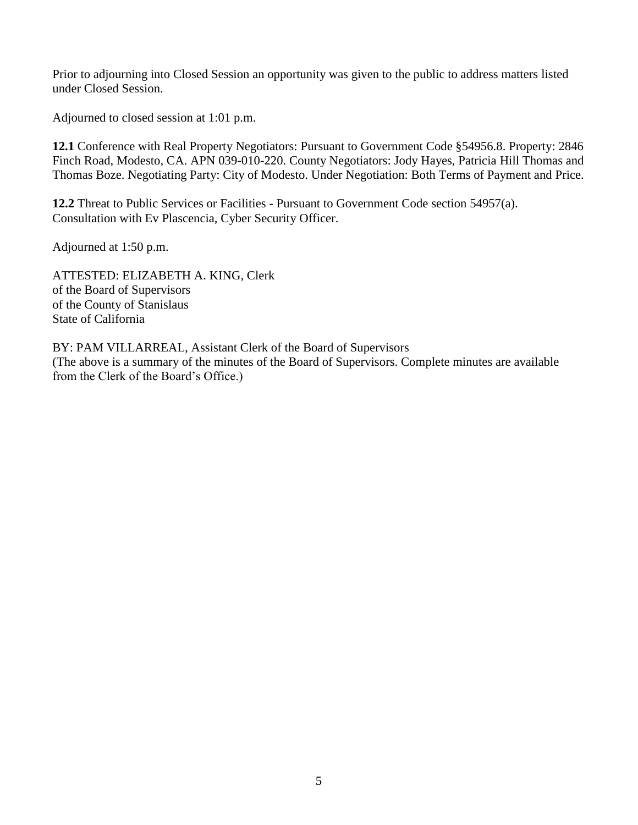Prior to adjourning into Closed Session an opportunity was given to the public to address matters listed under Closed Session.

Adjourned to closed session at 1:01 p.m.

**12.1** Conference with Real Property Negotiators: Pursuant to Government Code §54956.8. Property: 2846 Finch Road, Modesto, CA. APN 039-010-220. County Negotiators: Jody Hayes, Patricia Hill Thomas and Thomas Boze. Negotiating Party: City of Modesto. Under Negotiation: Both Terms of Payment and Price.

**12.2** Threat to Public Services or Facilities - Pursuant to Government Code section 54957(a). Consultation with Ev Plascencia, Cyber Security Officer.

Adjourned at 1:50 p.m.

ATTESTED: ELIZABETH A. KING, Clerk of the Board of Supervisors of the County of Stanislaus State of California

BY: PAM VILLARREAL, Assistant Clerk of the Board of Supervisors (The above is a summary of the minutes of the Board of Supervisors. Complete minutes are available from the Clerk of the Board's Office.)